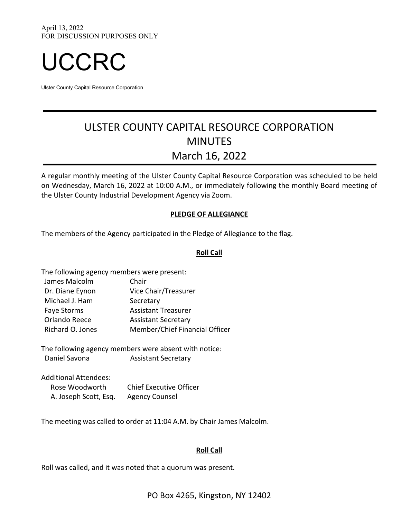

Ulster County Capital Resource Corporation

# ULSTER COUNTY CAPITAL RESOURCE CORPORATION MINUTES March 16, 2022

A regular monthly meeting of the Ulster County Capital Resource Corporation was scheduled to be held on Wednesday, March 16, 2022 at 10:00 A.M., or immediately following the monthly Board meeting of the Ulster County Industrial Development Agency via Zoom.

## **PLEDGE OF ALLEGIANCE**

The members of the Agency participated in the Pledge of Allegiance to the flag.

## **Roll Call**

| The following agency members were present: |                                |  |
|--------------------------------------------|--------------------------------|--|
| James Malcolm                              | Chair                          |  |
| Dr. Diane Eynon                            | Vice Chair/Treasurer           |  |
| Michael J. Ham                             | Secretary                      |  |
| <b>Faye Storms</b>                         | <b>Assistant Treasurer</b>     |  |
| Orlando Reece                              | <b>Assistant Secretary</b>     |  |
| Richard O. Jones                           | Member/Chief Financial Officer |  |

The following agency members were absent with notice: Daniel Savona **Assistant Secretary** 

Additional Attendees: Rose Woodworth Chief Executive Officer A. Joseph Scott, Esq. Agency Counsel

The meeting was called to order at 11:04 A.M. by Chair James Malcolm.

## **Roll Call**

Roll was called, and it was noted that a quorum was present.

PO Box 4265, Kingston, NY 12402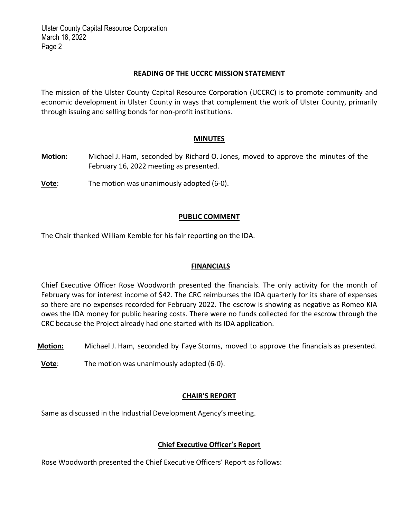#### **READING OF THE UCCRC MISSION STATEMENT**

The mission of the Ulster County Capital Resource Corporation (UCCRC) is to promote community and economic development in Ulster County in ways that complement the work of Ulster County, primarily through issuing and selling bonds for non‐profit institutions.

#### **MINUTES**

- **Motion:** Michael J. Ham, seconded by Richard O. Jones, moved to approve the minutes of the February 16, 2022 meeting as presented.
- **Vote:** The motion was unanimously adopted (6-0).

## **PUBLIC COMMENT**

The Chair thanked William Kemble for his fair reporting on the IDA.

## **FINANCIALS**

Chief Executive Officer Rose Woodworth presented the financials. The only activity for the month of February was for interest income of \$42. The CRC reimburses the IDA quarterly for its share of expenses so there are no expenses recorded for February 2022. The escrow is showing as negative as Romeo KIA owes the IDA money for public hearing costs. There were no funds collected for the escrow through the CRC because the Project already had one started with its IDA application.

- **Motion:** Michael J. Ham, seconded by Faye Storms, moved to approve the financials as presented.
- **Vote**: The motion was unanimously adopted (6-0).

## **CHAIR'S REPORT**

Same as discussed in the Industrial Development Agency's meeting.

# **Chief Executive Officer's Report**

Rose Woodworth presented the Chief Executive Officers' Report as follows: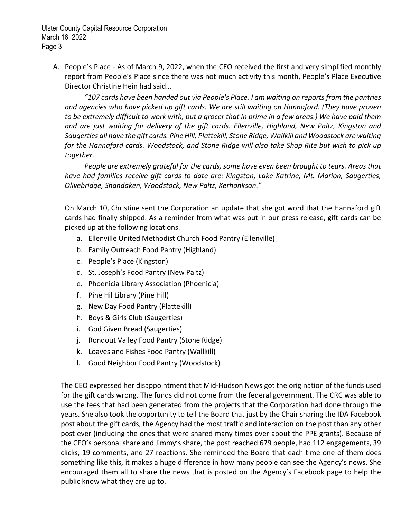A. People's Place ‐ As of March 9, 2022, when the CEO received the first and very simplified monthly report from People's Place since there was not much activity this month, People's Place Executive Director Christine Hein had said…

*"107 cards have been handed out via People's Place. I am waiting on reports from the pantries and agencies who have picked up gift cards. We are still waiting on Hannaford. (They have proven* to be extremely difficult to work with, but a grocer that in prime in a few areas.) We have paid them *and are just waiting for delivery of the gift cards. Ellenville, Highland, New Paltz, Kingston and Saugerties all have the gift cards. Pine Hill, Plattekill, Stone Ridge, Wallkill and Woodstock are waiting for the Hannaford cards. Woodstock, and Stone Ridge will also take Shop Rite but wish to pick up together.*

*People are extremely grateful for the cards, some have even been brought to tears. Areas that have had families receive gift cards to date are: Kingston, Lake Katrine, Mt. Marion, Saugerties, Olivebridge, Shandaken, Woodstock, New Paltz, Kerhonkson."*

On March 10, Christine sent the Corporation an update that she got word that the Hannaford gift cards had finally shipped. As a reminder from what was put in our press release, gift cards can be picked up at the following locations.

- a. Ellenville United Methodist Church Food Pantry (Ellenville)
- b. Family Outreach Food Pantry (Highland)
- c. People's Place (Kingston)
- d. St. Joseph's Food Pantry (New Paltz)
- e. Phoenicia Library Association (Phoenicia)
- f. Pine Hil Library (Pine Hill)
- g. New Day Food Pantry (Plattekill)
- h. Boys & Girls Club (Saugerties)
- i. God Given Bread (Saugerties)
- j. Rondout Valley Food Pantry (Stone Ridge)
- k. Loaves and Fishes Food Pantry (Wallkill)
- l. Good Neighbor Food Pantry (Woodstock)

The CEO expressed her disappointment that Mid‐Hudson News got the origination of the funds used for the gift cards wrong. The funds did not come from the federal government. The CRC was able to use the fees that had been generated from the projects that the Corporation had done through the years. She also took the opportunity to tell the Board that just by the Chair sharing the IDA Facebook post about the gift cards, the Agency had the most traffic and interaction on the post than any other post ever (including the ones that were shared many times over about the PPE grants). Because of the CEO's personal share and Jimmy's share, the post reached 679 people, had 112 engagements, 39 clicks, 19 comments, and 27 reactions. She reminded the Board that each time one of them does something like this, it makes a huge difference in how many people can see the Agency's news. She encouraged them all to share the news that is posted on the Agency's Facebook page to help the public know what they are up to.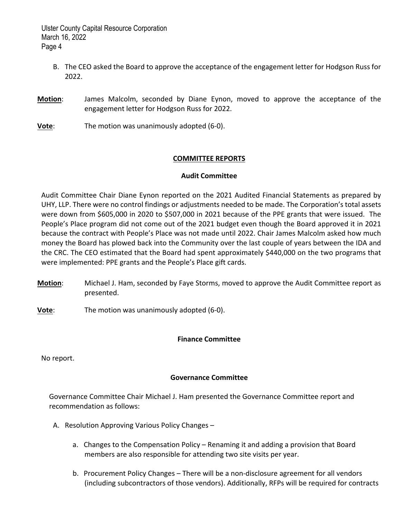- B. The CEO asked the Board to approve the acceptance of the engagement letter for Hodgson Russ for 2022.
- **Motion**: James Malcolm, seconded by Diane Eynon, moved to approve the acceptance of the engagement letter for Hodgson Russ for 2022.
- **Vote**: The motion was unanimously adopted (6-0).

# **COMMITTEE REPORTS**

# **Audit Committee**

Audit Committee Chair Diane Eynon reported on the 2021 Audited Financial Statements as prepared by UHY, LLP. There were no control findings or adjustments needed to be made. The Corporation's total assets were down from \$605,000 in 2020 to \$507,000 in 2021 because of the PPE grants that were issued. The People's Place program did not come out of the 2021 budget even though the Board approved it in 2021 because the contract with People's Place was not made until 2022. Chair James Malcolm asked how much money the Board has plowed back into the Community over the last couple of years between the IDA and the CRC. The CEO estimated that the Board had spent approximately \$440,000 on the two programs that were implemented: PPE grants and the People's Place gift cards.

**Motion**: Michael J. Ham, seconded by Faye Storms, moved to approve the Audit Committee report as presented.

**Vote**: The motion was unanimously adopted (6‐0).

# **Finance Committee**

No report.

# **Governance Committee**

Governance Committee Chair Michael J. Ham presented the Governance Committee report and recommendation as follows:

- A. Resolution Approving Various Policy Changes
	- a. Changes to the Compensation Policy Renaming it and adding a provision that Board members are also responsible for attending two site visits per year.
	- b. Procurement Policy Changes There will be a non-disclosure agreement for all vendors (including subcontractors of those vendors). Additionally, RFPs will be required for contracts